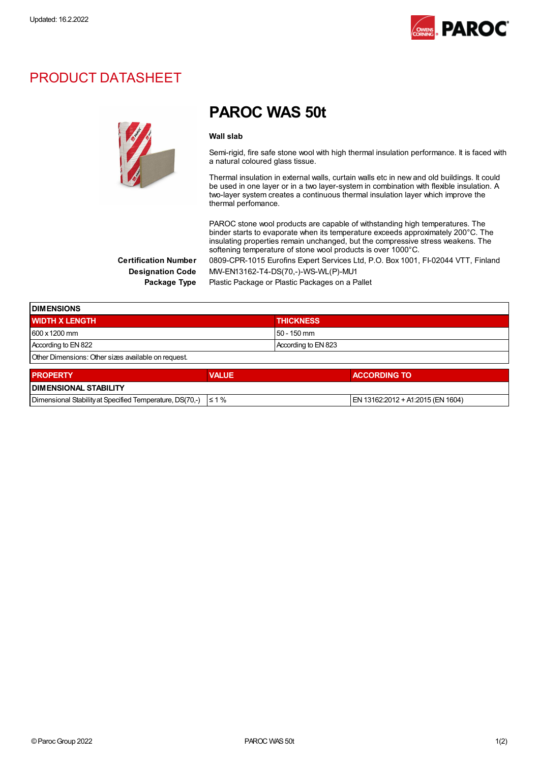

### PRODUCT DATASHEET



## PAROC WAS 50t

#### Wall slah

Semi-rigid, fire safe stone wool with high thermal insulation performance. It is faced with a natural coloured glass tissue.

Thermal insulation in external walls, curtain walls etc in new and old buildings. It could be used in one layer or in a two layer-system in combination with flexible insulation. A two-layer system creates a continuous thermal insulation layer which improve the thermal perfomance.

PAROC stone wool products are capable of withstanding high temperatures. The binder starts to evaporate when its temperature exceeds approximately 200°C. The insulating properties remain unchanged, but the compressive stress weakens. The softening temperature of stone wool products is over 1000°C. Certification Number 0809-CPR-1015 Eurofins Expert Services Ltd, P.O. Box 1001, FI-02044 VTT, Finland

Designation Code MW-EN13162-T4-DS(70,-)-WS-WL(P)-MU1

Package Type Plastic Package or Plastic Packages on a Pallet

| <b>IDIMENSIONS</b>                                  |              |                     |  |  |
|-----------------------------------------------------|--------------|---------------------|--|--|
| <b>WIDTH X LENGTH</b>                               |              | <b>THICKNESS</b>    |  |  |
| 600 x 1200 mm                                       |              | 50 - 150 mm         |  |  |
| According to EN 822                                 |              | According to EN 823 |  |  |
| Other Dimensions: Other sizes available on request. |              |                     |  |  |
| <b>PROPERTY</b>                                     | <b>VALUE</b> | <b>ACCORDING TO</b> |  |  |

| <b>PROPERTY</b>                                                     | VALUE | <b>ACCORDING TO</b>               |
|---------------------------------------------------------------------|-------|-----------------------------------|
| <b>I DIMENSIONAL STABILITY</b>                                      |       |                                   |
| Dimensional Stability at Specified Temperature, DS(70,-) $\leq 1\%$ |       | EN 13162:2012 + A1:2015 (EN 1604) |